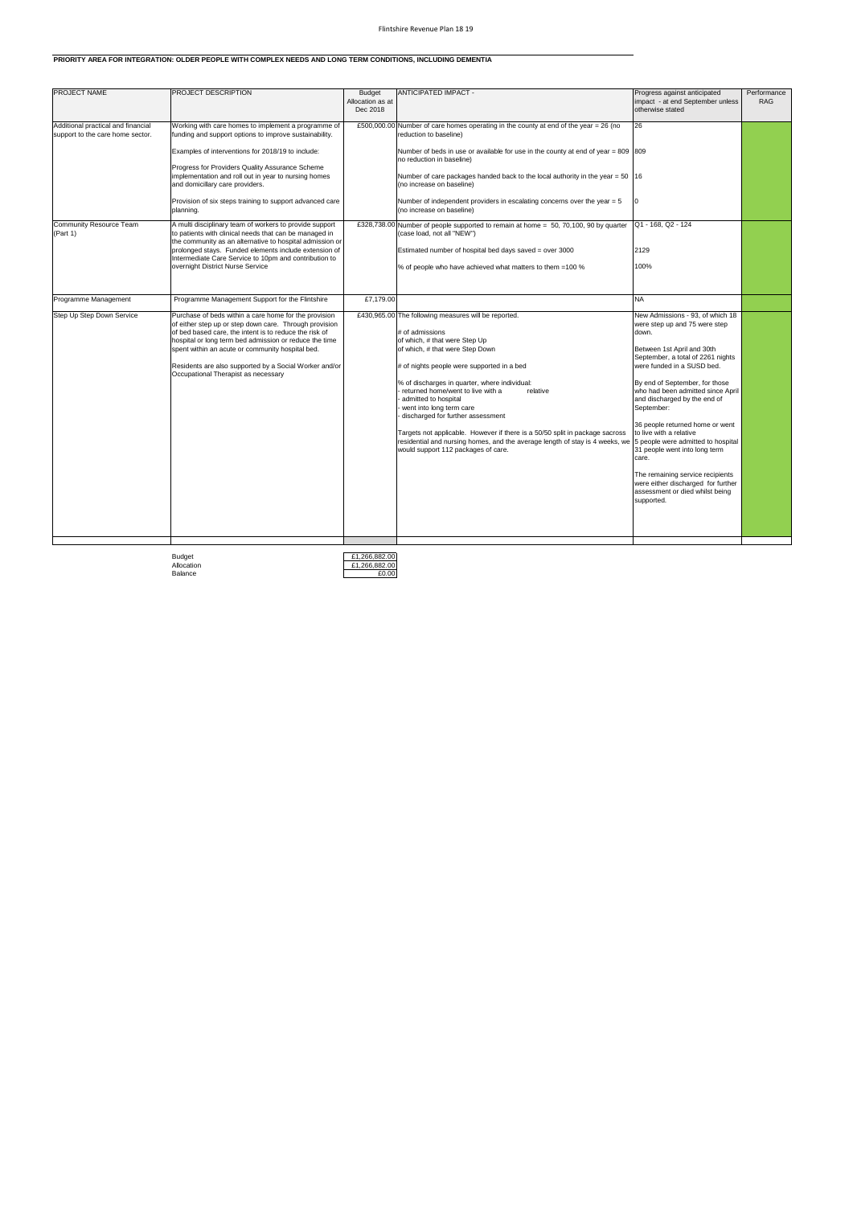## Flintshire Revenue Plan 18 19

| PROJECT NAME                                                                                             | <b>PROJECT DESCRIPTION</b>                                                                                                                                                                                                                                                                                                                                                                                                                           | <b>Budget</b><br>Allocation as at<br>Dec 2018 | <b>ANTICIPATED IMPACT -</b>                                                                                                                                                                                                                                                                                                                                                                                                                                                                                                                                                                 | Progress against anticipated<br>impact - at end September unless<br>otherwise stated                                                                                                                                                                                                                                                                                                                                                                                                                                                                                      | Performance<br><b>RAG</b> |
|----------------------------------------------------------------------------------------------------------|------------------------------------------------------------------------------------------------------------------------------------------------------------------------------------------------------------------------------------------------------------------------------------------------------------------------------------------------------------------------------------------------------------------------------------------------------|-----------------------------------------------|---------------------------------------------------------------------------------------------------------------------------------------------------------------------------------------------------------------------------------------------------------------------------------------------------------------------------------------------------------------------------------------------------------------------------------------------------------------------------------------------------------------------------------------------------------------------------------------------|---------------------------------------------------------------------------------------------------------------------------------------------------------------------------------------------------------------------------------------------------------------------------------------------------------------------------------------------------------------------------------------------------------------------------------------------------------------------------------------------------------------------------------------------------------------------------|---------------------------|
| Additional practical and financial<br>support to the care home sector.<br><b>Community Resource Team</b> | Working with care homes to implement a programme of<br>funding and support options to improve sustainability.<br>Examples of interventions for 2018/19 to include:<br>Progress for Providers Quality Assurance Scheme<br>implementation and roll out in year to nursing homes<br>and domicillary care providers.<br>Provision of six steps training to support advanced care<br>planning.<br>A multi disciplinary team of workers to provide support |                                               | £500,000.00 Number of care homes operating in the county at end of the year = 26 (no<br>reduction to baseline)<br>Number of beds in use or available for use in the county at end of year = $809$ 809<br>no reduction in baseline)<br>Number of care packages handed back to the local authority in the year $= 50$  16<br>(no increase on baseline)<br>Number of independent providers in escalating concerns over the year $= 5$<br>(no increase on baseline)<br>£328,738.00 Number of people supported to remain at home = 50, 70,100, 90 by quarter                                     | 26<br>Q1 - 168, Q2 - 124                                                                                                                                                                                                                                                                                                                                                                                                                                                                                                                                                  |                           |
| (Part 1)                                                                                                 | to patients with clinical needs that can be managed in<br>the community as an alternative to hospital admission or<br>prolonged stays. Funded elements include extension of<br>Intermediate Care Service to 10pm and contribution to<br>overnight District Nurse Service                                                                                                                                                                             |                                               | (case load, not all "NEW")<br>Estimated number of hospital bed days saved = over 3000<br>% of people who have achieved what matters to them =100 %                                                                                                                                                                                                                                                                                                                                                                                                                                          | 2129<br>100%                                                                                                                                                                                                                                                                                                                                                                                                                                                                                                                                                              |                           |
| Programme Management                                                                                     | Programme Management Support for the Flintshire                                                                                                                                                                                                                                                                                                                                                                                                      | £7,179.00                                     |                                                                                                                                                                                                                                                                                                                                                                                                                                                                                                                                                                                             | <b>NA</b>                                                                                                                                                                                                                                                                                                                                                                                                                                                                                                                                                                 |                           |
| Step Up Step Down Service                                                                                | Purchase of beds within a care home for the provision<br>of either step up or step down care. Through provision<br>of bed based care, the intent is to reduce the risk of<br>hospital or long term bed admission or reduce the time<br>spent within an acute or community hospital bed.<br>Residents are also supported by a Social Worker and/or<br>Occupational Therapist as necessary                                                             |                                               | £430,965.00 The following measures will be reported.<br># of admissions<br>of which, # that were Step Up<br>of which, # that were Step Down<br># of nights people were supported in a bed<br>% of discharges in quarter, where individual:<br>returned home/went to live with a<br>relative<br>admitted to hospital<br>went into long term care<br>discharged for further assessment<br>Targets not applicable. However if there is a 50/50 split in package sacross<br>residential and nursing homes, and the average length of stay is 4 weeks, we<br>would support 112 packages of care. | New Admissions - 93, of which 18<br>were step up and 75 were step<br>down.<br>Between 1st April and 30th<br>September, a total of 2261 nights<br>were funded in a SUSD bed.<br>By end of September, for those<br>who had been admitted since April<br>and discharged by the end of<br>September:<br>36 people returned home or went<br>to live with a relative<br>5 people were admitted to hospital<br>31 people went into long term<br>care.<br>The remaining service recipients<br>were either discharged for further<br>assessment or died whilst being<br>supported. |                           |

Budget<br>Allocation<br>Balance

£1,266,882.00 £1,266,882.0

## **PRIORITY AREA FOR INTEGRATION: OLDER PEOPLE WITH COMPLEX NEEDS AND LONG TERM CONDITIONS, INCLUDING DEMENTIA**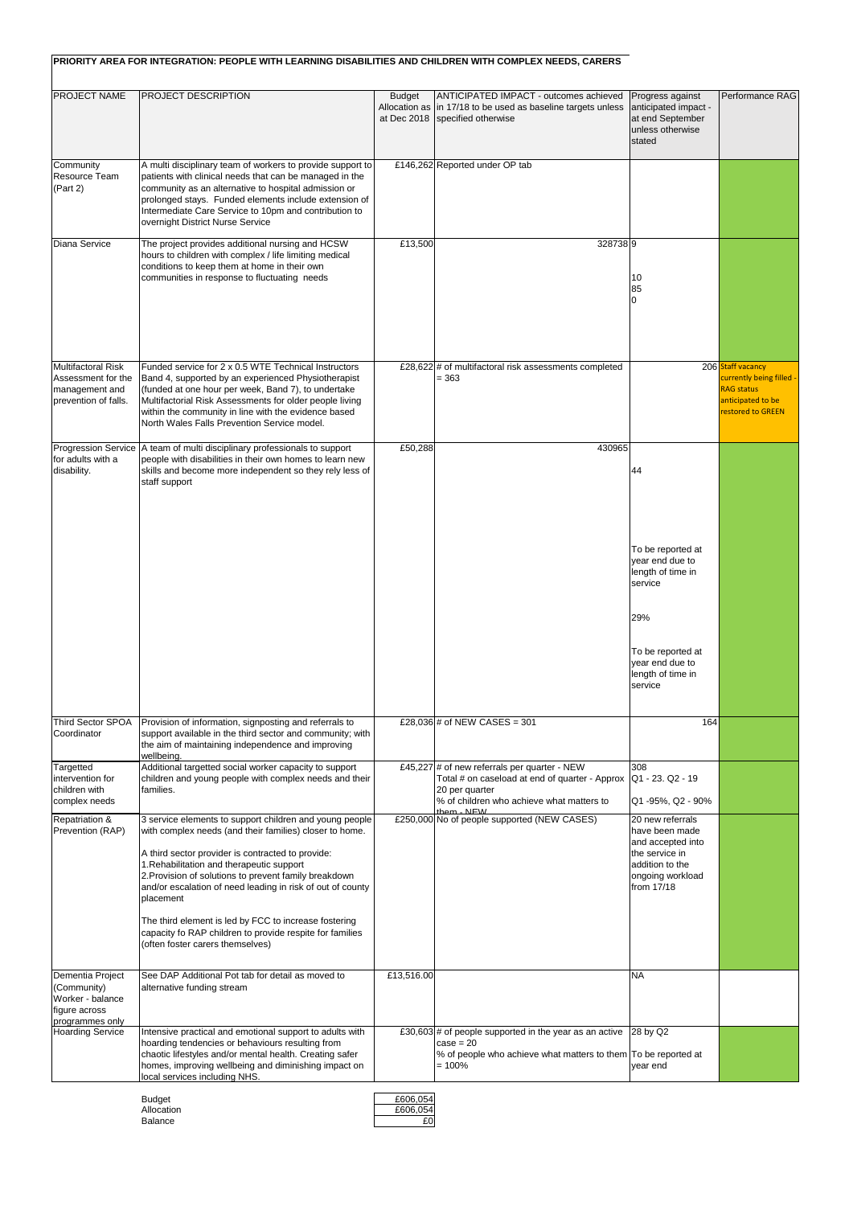|                                                                                         | PRIORITY AREA FOR INTEGRATION: PEOPLE WITH LEARNING DISABILITIES AND CHILDREN WITH COMPLEX NEEDS, CARERS                                                                                                                                                                                                                                                                                                          |                                |                                                                                                                                                                  |                                                                                                                                 |                                                                                         |
|-----------------------------------------------------------------------------------------|-------------------------------------------------------------------------------------------------------------------------------------------------------------------------------------------------------------------------------------------------------------------------------------------------------------------------------------------------------------------------------------------------------------------|--------------------------------|------------------------------------------------------------------------------------------------------------------------------------------------------------------|---------------------------------------------------------------------------------------------------------------------------------|-----------------------------------------------------------------------------------------|
| <b>PROJECT NAME</b>                                                                     | <b>PROJECT DESCRIPTION</b>                                                                                                                                                                                                                                                                                                                                                                                        | <b>Budget</b><br>Allocation as | ANTICIPATED IMPACT - outcomes achieved<br>in 17/18 to be used as baseline targets unless<br>at Dec 2018   specified otherwise                                    | Progress against<br>anticipated impact -<br>at end September<br>unless otherwise<br>stated                                      | Performance RAG                                                                         |
| Community<br>Resource Team<br>(Part 2)                                                  | A multi disciplinary team of workers to provide support to<br>patients with clinical needs that can be managed in the<br>community as an alternative to hospital admission or<br>prolonged stays. Funded elements include extension of<br>Intermediate Care Service to 10pm and contribution to<br>overnight District Nurse Service                                                                               |                                | £146,262 Reported under OP tab                                                                                                                                   |                                                                                                                                 |                                                                                         |
| <b>Diana Service</b>                                                                    | The project provides additional nursing and HCSW<br>hours to children with complex / life limiting medical<br>conditions to keep them at home in their own<br>communities in response to fluctuating needs                                                                                                                                                                                                        | £13,500                        | 3287389                                                                                                                                                          | 10<br>85<br>0                                                                                                                   |                                                                                         |
| <b>Multifactoral Risk</b>                                                               | Funded service for 2 x 0.5 WTE Technical Instructors                                                                                                                                                                                                                                                                                                                                                              |                                |                                                                                                                                                                  |                                                                                                                                 | 206 Staff vacancy                                                                       |
| Assessment for the<br>management and<br>prevention of falls.                            | Band 4, supported by an experienced Physiotherapist<br>(funded at one hour per week, Band 7), to undertake<br>Multifactorial Risk Assessments for older people living<br>within the community in line with the evidence based<br>North Wales Falls Prevention Service model.                                                                                                                                      |                                | £28,622 $\#$ of multifactoral risk assessments completed<br>$= 363$                                                                                              |                                                                                                                                 | currently being filled -<br><b>RAG status</b><br>anticipated to be<br>restored to GREEN |
| for adults with a<br>disability.                                                        | Progression Service   A team of multi disciplinary professionals to support<br>people with disabilities in their own homes to learn new<br>skills and become more independent so they rely less of<br>staff support                                                                                                                                                                                               | £50,288                        | 430965                                                                                                                                                           | 44                                                                                                                              |                                                                                         |
|                                                                                         |                                                                                                                                                                                                                                                                                                                                                                                                                   |                                |                                                                                                                                                                  | To be reported at<br>year end due to<br>length of time in<br>service                                                            |                                                                                         |
|                                                                                         |                                                                                                                                                                                                                                                                                                                                                                                                                   |                                |                                                                                                                                                                  | 29%<br>To be reported at<br>year end due to<br>length of time in<br>service                                                     |                                                                                         |
| Third Sector SPOA<br>Coordinator                                                        | Provision of information, signposting and referrals to<br>support available in the third sector and community; with<br>the aim of maintaining independence and improving<br>wellbeing.                                                                                                                                                                                                                            |                                | £28,036 # of NEW CASES = 301                                                                                                                                     | 164                                                                                                                             |                                                                                         |
| Targetted<br>intervention for<br>children with<br>complex needs                         | Additional targetted social worker capacity to support<br>children and young people with complex needs and their<br>families.                                                                                                                                                                                                                                                                                     |                                | £45,227 $\#$ of new referrals per quarter - NEW<br>Total # on caseload at end of quarter - Approx<br>20 per quarter<br>% of children who achieve what matters to | 308<br>Q1 - 23. Q2 - 19<br>Q1-95%, Q2 - 90%                                                                                     |                                                                                         |
| <b>Repatriation &amp;</b><br>Prevention (RAP)                                           | 3 service elements to support children and young people<br>with complex needs (and their families) closer to home.<br>A third sector provider is contracted to provide:<br>1. Rehabilitation and therapeutic support<br>2. Provision of solutions to prevent family breakdown<br>and/or escalation of need leading in risk of out of county<br>placement<br>The third element is led by FCC to increase fostering |                                | them - NFW<br>£250,000 No of people supported (NEW CASES)                                                                                                        | 20 new referrals<br>have been made<br>and accepted into<br>the service in<br>laddition to the<br>ongoing workload<br>from 17/18 |                                                                                         |
|                                                                                         | capacity fo RAP children to provide respite for families<br>(often foster carers themselves)                                                                                                                                                                                                                                                                                                                      |                                |                                                                                                                                                                  |                                                                                                                                 |                                                                                         |
| Dementia Project<br>(Community)<br>Worker - balance<br>figure across<br>programmes only | See DAP Additional Pot tab for detail as moved to<br>alternative funding stream                                                                                                                                                                                                                                                                                                                                   | £13,516.00                     |                                                                                                                                                                  | <b>NA</b>                                                                                                                       |                                                                                         |
| <b>Hoarding Service</b>                                                                 | Intensive practical and emotional support to adults with<br>hoarding tendencies or behaviours resulting from                                                                                                                                                                                                                                                                                                      |                                | £30,603 $\#$ of people supported in the year as an active<br>$case = 20$                                                                                         | 28 by Q2                                                                                                                        |                                                                                         |
|                                                                                         | chaotic lifestyles and/or mental health. Creating safer<br>homes, improving wellbeing and diminishing impact on<br>local services including NHS.                                                                                                                                                                                                                                                                  |                                | % of people who achieve what matters to them To be reported at<br>$=100\%$                                                                                       | year end                                                                                                                        |                                                                                         |

| <b>Budget</b> | £606.054 |
|---------------|----------|
| Allocation    | £606.054 |
| Balance       |          |